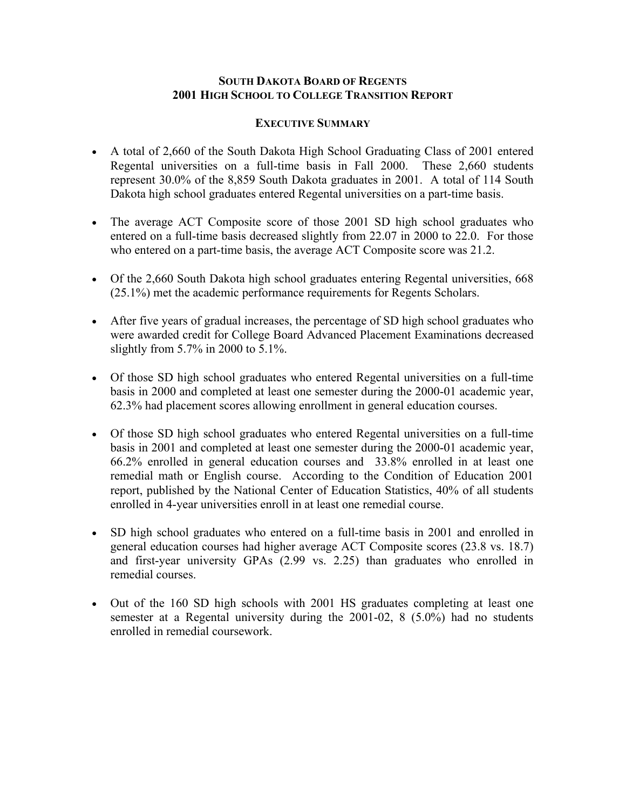# **SOUTH DAKOTA BOARD OF REGENTS 2001 HIGH SCHOOL TO COLLEGE TRANSITION REPORT**

#### **EXECUTIVE SUMMARY**

- A total of 2,660 of the South Dakota High School Graduating Class of 2001 entered Regental universities on a full-time basis in Fall 2000. These 2,660 students represent 30.0% of the 8,859 South Dakota graduates in 2001. A total of 114 South Dakota high school graduates entered Regental universities on a part-time basis.
- The average ACT Composite score of those 2001 SD high school graduates who entered on a full-time basis decreased slightly from 22.07 in 2000 to 22.0. For those who entered on a part-time basis, the average ACT Composite score was 21.2.
- Of the 2,660 South Dakota high school graduates entering Regental universities, 668 (25.1%) met the academic performance requirements for Regents Scholars.
- After five years of gradual increases, the percentage of SD high school graduates who were awarded credit for College Board Advanced Placement Examinations decreased slightly from 5.7% in 2000 to 5.1%.
- Of those SD high school graduates who entered Regental universities on a full-time basis in 2000 and completed at least one semester during the 2000-01 academic year, 62.3% had placement scores allowing enrollment in general education courses.
- Of those SD high school graduates who entered Regental universities on a full-time basis in 2001 and completed at least one semester during the 2000-01 academic year, 66.2% enrolled in general education courses and 33.8% enrolled in at least one remedial math or English course. According to the Condition of Education 2001 report, published by the National Center of Education Statistics, 40% of all students enrolled in 4-year universities enroll in at least one remedial course.
- SD high school graduates who entered on a full-time basis in 2001 and enrolled in general education courses had higher average ACT Composite scores (23.8 vs. 18.7) and first-year university GPAs (2.99 vs. 2.25) than graduates who enrolled in remedial courses.
- Out of the 160 SD high schools with 2001 HS graduates completing at least one semester at a Regental university during the 2001-02, 8 (5.0%) had no students enrolled in remedial coursework.